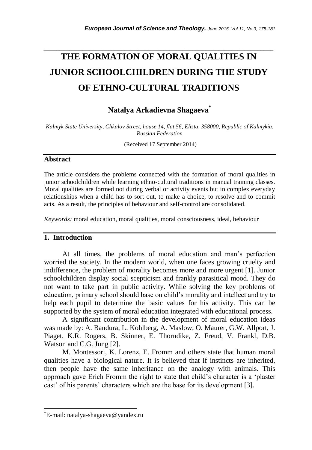# **THE FORMATION OF MORAL QUALITIES IN JUNIOR SCHOOLCHILDREN DURING THE STUDY OF ETHNO-CULTURAL TRADITIONS**

*\_\_\_\_\_\_\_\_\_\_\_\_\_\_\_\_\_\_\_\_\_\_\_\_\_\_\_\_\_\_\_\_\_\_\_\_\_\_\_\_\_\_\_\_\_\_\_\_\_\_\_\_\_\_\_\_\_\_\_\_\_\_\_\_\_\_\_\_\_\_\_*

**Natalya Arkadievna Shagaeva\***

*Kalmyk State University, Chkalov Street, house 14, flat 56, Elista, 358000, Republic of Kalmykia, Russian Federation*

(Received 17 September 2014)

## **Abstract**

The article considers the problems connected with the formation of moral qualities in junior schoolchildren while learning ethno-cultural traditions in manual training classes. Moral qualities are formed not during verbal or activity events but in complex everyday relationships when a child has to sort out, to make a choice, to resolve and to commit acts. As a result, the principles of behaviour and self-control are consolidated.

*Keywords:* moral education, moral qualities, moral consciousness, ideal, behaviour

### **1. Introduction**

At all times, the problems of moral education and man"s perfection worried the society. In the modern world, when one faces growing cruelty and indifference, the problem of morality becomes more and more urgent [1]. Junior schoolchildren display social scepticism and frankly parasitical mood. They do not want to take part in public activity. While solving the key problems of education, primary school should base on child"s morality and intellect and try to help each pupil to determine the basic values for his activity. This can be supported by the system of moral education integrated with educational process.

A significant contribution in the development of moral education ideas was made by: A. Bandura, L. Kohlberg, A. Maslow, O. Maurer, G.W. Allport, J. Piaget, K.R. Rogers, B. Skinner, E. Thorndike, Z. Freud, V. Frankl, D.B. Watson and C.G. Jung [2].

M. Montessori, K. Lorenz, E. Fromm and others state that human moral qualities have a biological nature. It is believed that if instincts are inherited, then people have the same inheritance on the analogy with animals. This approach gave Erich Fromm the right to state that child"s character is a "plaster cast" of his parents" characters which are the base for its development [3].

l

<sup>\*</sup>E-mail: natalya-shagaeva@yandex.ru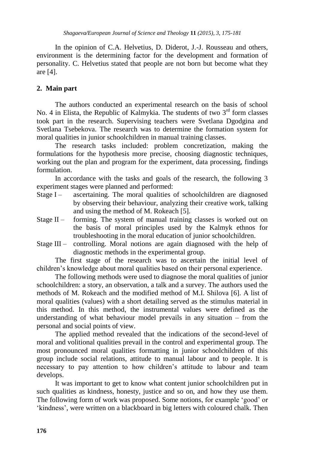In the opinion of C.A. Helvetius, D. Diderot, J.-J. Rousseau and others, environment is the determining factor for the development and formation of personality. C. Helvetius stated that people are not born but become what they are [4].

## **2. Main part**

The authors conducted an experimental research on the basis of school No. 4 in Elista, the Republic of Kalmykia. The students of two  $3<sup>rd</sup>$  form classes took part in the research. Supervising teachers were Svetlana Dgodgina and Svetlana Tsebekova. The research was to determine the formation system for moral qualities in junior schoolchildren in manual training classes.

The research tasks included: problem concretization, making the formulations for the hypothesis more precise, choosing diagnostic techniques, working out the plan and program for the experiment, data processing, findings formulation.

In accordance with the tasks and goals of the research, the following 3 experiment stages were planned and performed:

- Stage I ascertaining. The moral qualities of schoolchildren are diagnosed by observing their behaviour, analyzing their creative work, talking and using the method of M. Rokeach [5].
- Stage II forming. The system of manual training classes is worked out on the basis of moral principles used by the Kalmyk ethnos for troubleshooting in the moral education of junior schoolchildren.
- Stage III controlling. Moral notions are again diagnosed with the help of diagnostic methods in the experimental group.

The first stage of the research was to ascertain the initial level of children"s knowledge about moral qualities based on their personal experience.

The following methods were used to diagnose the moral qualities of junior schoolchildren: a story, an observation, a talk and a survey. The authors used the methods of M. Rokeach and the modified method of M.I. Shilova [6]. A list of moral qualities (values) with a short detailing served as the stimulus material in this method. In this method, the instrumental values were defined as the understanding of what behaviour model prevails in any situation – from the personal and social points of view.

The applied method revealed that the indications of the second-level of moral and volitional qualities prevail in the control and experimental group. The most pronounced moral qualities formatting in junior schoolchildren of this group include social relations, attitude to manual labour and to people. It is necessary to pay attention to how children"s attitude to labour and team develops.

It was important to get to know what content junior schoolchildren put in such qualities as kindness, honesty, justice and so on, and how they use them. The following form of work was proposed. Some notions, for example "good" or 'kindness', were written on a blackboard in big letters with coloured chalk. Then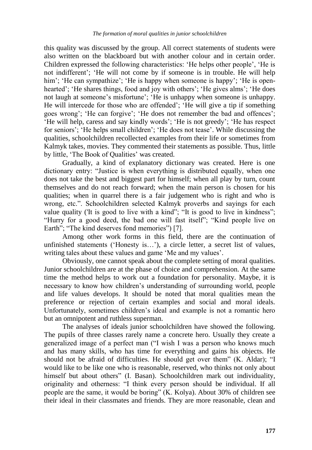this quality was discussed by the group. All correct statements of students were also written on the blackboard but with another colour and in certain order. Children expressed the following characteristics: "He helps other people", "He is not indifferent'; 'He will not come by if someone is in trouble. He will help him'; 'He can sympathize'; 'He is happy when someone is happy'; 'He is openhearted'; 'He shares things, food and joy with others'; 'He gives alms'; 'He does not laugh at someone's misfortune'; 'He is unhappy when someone is unhappy. He will intercede for those who are offended'; 'He will give a tip if something goes wrong'; 'He can forgive'; 'He does not remember the bad and offences'; "He will help, caress and say kindly words"; "He is not greedy"; "He has respect for seniors'; 'He helps small children'; 'He does not tease'. While discussing the qualities, schoolchildren recollected examples from their life or sometimes from Kalmyk takes, movies. They commented their statements as possible. Thus, little by little, 'The Book of Qualities' was created.

Gradually, a kind of explanatory dictionary was created. Here is one dictionary entry: "Justice is when everything is distributed equally, when one does not take the best and biggest part for himself; when all play by turn, count themselves and do not reach forward; when the main person is chosen for his qualities; when in quarrel there is a fair judgement who is right and who is wrong, etc.". Schoolchildren selected Kalmyk proverbs and sayings for each value quality ('It is good to live with a kind"; "It is good to live in kindness"; "Hurry for a good deed, the bad one will fast itself"; "Kind people live on Earth"; "The kind deserves fond memories") [7].

Among other work forms in this field, there are the continuation of unfinished statements ("Honesty is…"), a circle letter, a secret list of values, writing tales about these values and game "Me and my values".

Obviously, one cannot speak about the complete setting of moral qualities. Junior schoolchildren are at the phase of choice and comprehension. At the same time the method helps to work out a foundation for personality. Maybe, it is necessary to know how children"s understanding of surrounding world, people and life values develops. It should be noted that moral qualities mean the preference or rejection of certain examples and social and moral ideals. Unfortunately, sometimes children"s ideal and example is not a romantic hero but an omnipotent and ruthless superman.

The analyses of ideals junior schoolchildren have showed the following. The pupils of three classes rarely name a concrete hero. Usually they create a generalized image of a perfect man ("I wish I was a person who knows much and has many skills, who has time for everything and gains his objects. He should not be afraid of difficulties. He should get over them" (K. Aldar); "I would like to be like one who is reasonable, reserved, who thinks not only about himself but about others" (I. Basan). Schoolchildren mark out individuality, originality and otherness: "I think every person should be individual. If all people are the same, it would be boring" (K. Kolya). About 30% of children see their ideal in their classmates and friends. They are more reasonable, clean and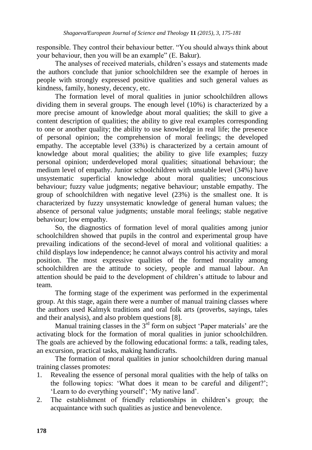responsible. They control their behaviour better. "You should always think about your behaviour, then you will be an example" (E. Bakur).

The analyses of received materials, children"s essays and statements made the authors conclude that junior schoolchildren see the example of heroes in people with strongly expressed positive qualities and such general values as kindness, family, honesty, decency, etc.

The formation level of moral qualities in junior schoolchildren allows dividing them in several groups. The enough level (10%) is characterized by a more precise amount of knowledge about moral qualities; the skill to give a content description of qualities; the ability to give real examples corresponding to one or another quality; the ability to use knowledge in real life; the presence of personal opinion; the comprehension of moral feelings; the developed empathy. The acceptable level (33%) is characterized by a certain amount of knowledge about moral qualities; the ability to give life examples; fuzzy personal opinion; underdeveloped moral qualities; situational behaviour; the medium level of empathy. Junior schoolchildren with unstable level (34%) have unsystematic superficial knowledge about moral qualities; unconscious behaviour; fuzzy value judgments; negative behaviour; unstable empathy. The group of schoolchildren with negative level (23%) is the smallest one. It is characterized by fuzzy unsystematic knowledge of general human values; the absence of personal value judgments; unstable moral feelings; stable negative behaviour; low empathy.

So, the diagnostics of formation level of moral qualities among junior schoolchildren showed that pupils in the control and experimental group have prevailing indications of the second-level of moral and volitional qualities: a child displays low independence; he cannot always control his activity and moral position. The most expressive qualities of the formed morality among schoolchildren are the attitude to society, people and manual labour. An attention should be paid to the development of children"s attitude to labour and team.

The forming stage of the experiment was performed in the experimental group. At this stage, again there were a number of manual training classes where the authors used Kalmyk traditions and oral folk arts (proverbs, sayings, tales and their analysis), and also problem questions [8].

Manual training classes in the  $3<sup>rd</sup>$  form on subject 'Paper materials' are the activating block for the formation of moral qualities in junior schoolchildren. The goals are achieved by the following educational forms: a talk, reading tales, an excursion, practical tasks, making handicrafts.

The formation of moral qualities in junior schoolchildren during manual training classes promotes:

- 1. Revealing the essence of personal moral qualities with the help of talks on the following topics: "What does it mean to be careful and diligent?"; 'Learn to do everything yourself'; 'My native land'.
- 2. The establishment of friendly relationships in children"s group; the acquaintance with such qualities as justice and benevolence.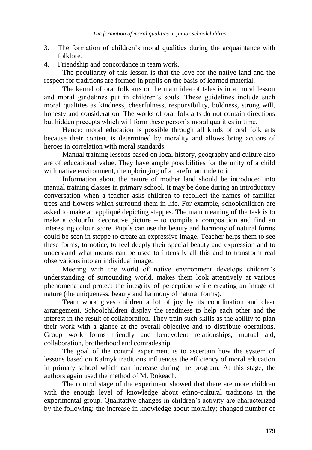- 3. The formation of children"s moral qualities during the acquaintance with folklore.
- 4. Friendship and concordance in team work.

The peculiarity of this lesson is that the love for the native land and the respect for traditions are formed in pupils on the basis of learned material.

The kernel of oral folk arts or the main idea of tales is in a moral lesson and moral guidelines put in children"s souls. These guidelines include such moral qualities as kindness, cheerfulness, responsibility, boldness, strong will, honesty and consideration. The works of oral folk arts do not contain directions but hidden precepts which will form these person"s moral qualities in time.

Hence: moral education is possible through all kinds of oral folk arts because their content is determined by morality and allows bring actions of heroes in correlation with moral standards.

Manual training lessons based on local history, geography and culture also are of educational value. They have ample possibilities for the unity of a child with native environment, the upbringing of a careful attitude to it.

Information about the nature of mother land should be introduced into manual training classes in primary school. It may be done during an introductory conversation when a teacher asks children to recollect the names of familiar trees and flowers which surround them in life. For example, schoolchildren are asked to make an appliqué depicting steppes. The main meaning of the task is to make a colourful decorative picture – to compile a composition and find an interesting colour score. Pupils can use the beauty and harmony of natural forms could be seen in steppe to create an expressive image. Teacher helps them to see these forms, to notice, to feel deeply their special beauty and expression and to understand what means can be used to intensify all this and to transform real observations into an individual image.

Meeting with the world of native environment develops children"s understanding of surrounding world, makes them look attentively at various phenomena and protect the integrity of perception while creating an image of nature (the uniqueness, beauty and harmony of natural forms).

Team work gives children a lot of joy by its coordination and clear arrangement. Schoolchildren display the readiness to help each other and the interest in the result of collaboration. They train such skills as the ability to plan their work with a glance at the overall objective and to distribute operations. Group work forms friendly and benevolent relationships, mutual aid, collaboration, brotherhood and comradeship.

The goal of the control experiment is to ascertain how the system of lessons based on Kalmyk traditions influences the efficiency of moral education in primary school which can increase during the program. At this stage, the authors again used the method of M. Rokeach.

The control stage of the experiment showed that there are more children with the enough level of knowledge about ethno-cultural traditions in the experimental group. Qualitative changes in children"s activity are characterized by the following: the increase in knowledge about morality; changed number of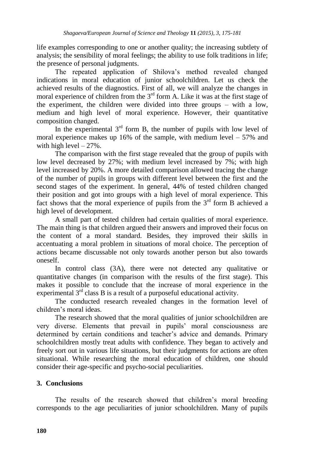life examples corresponding to one or another quality; the increasing subtlety of analysis; the sensibility of moral feelings; the ability to use folk traditions in life; the presence of personal judgments.

The repeated application of Shilova"s method revealed changed indications in moral education of junior schoolchildren. Let us check the achieved results of the diagnostics. First of all, we will analyze the changes in moral experience of children from the  $3<sup>rd</sup>$  form A. Like it was at the first stage of the experiment, the children were divided into three groups – with a low, medium and high level of moral experience. However, their quantitative composition changed.

In the experimental  $3<sup>rd</sup>$  form B, the number of pupils with low level of moral experience makes up 16% of the sample, with medium level  $-57%$  and with high level  $-27\%$ .

The comparison with the first stage revealed that the group of pupils with low level decreased by 27%; with medium level increased by 7%; with high level increased by 20%. A more detailed comparison allowed tracing the change of the number of pupils in groups with different level between the first and the second stages of the experiment. In general, 44% of tested children changed their position and got into groups with a high level of moral experience. This fact shows that the moral experience of pupils from the  $3<sup>rd</sup>$  form B achieved a high level of development.

A small part of tested children had certain qualities of moral experience. The main thing is that children argued their answers and improved their focus on the content of a moral standard. Besides, they improved their skills in accentuating a moral problem in situations of moral choice. The perception of actions became discussable not only towards another person but also towards oneself.

In control class (3A), there were not detected any qualitative or quantitative changes (in comparison with the results of the first stage). This makes it possible to conclude that the increase of moral experience in the experimental  $3<sup>rd</sup>$  class B is a result of a purposeful educational activity.

The conducted research revealed changes in the formation level of children"s moral ideas.

The research showed that the moral qualities of junior schoolchildren are very diverse. Elements that prevail in pupils" moral consciousness are determined by certain conditions and teacher"s advice and demands. Primary schoolchildren mostly treat adults with confidence. They began to actively and freely sort out in various life situations, but their judgments for actions are often situational. While researching the moral education of children, one should consider their age-specific and psycho-social peculiarities.

## **3. Conclusions**

The results of the research showed that children"s moral breeding corresponds to the age peculiarities of junior schoolchildren. Many of pupils